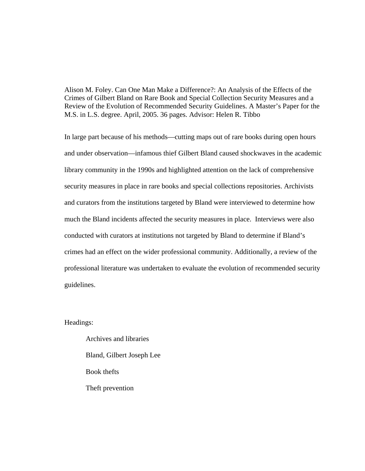Alison M. Foley. Can One Man Make a Difference?: An Analysis of the Effects of the Crimes of Gilbert Bland on Rare Book and Special Collection Security Measures and a Review of the Evolution of Recommended Security Guidelines. A Master's Paper for the M.S. in L.S. degree. April, 2005. 36 pages. Advisor: Helen R. Tibbo

In large part because of his methods—cutting maps out of rare books during open hours and under observation—infamous thief Gilbert Bland caused shockwaves in the academic library community in the 1990s and highlighted attention on the lack of comprehensive security measures in place in rare books and special collections repositories. Archivists and curators from the institutions targeted by Bland were interviewed to determine how much the Bland incidents affected the security measures in place. Interviews were also conducted with curators at institutions not targeted by Bland to determine if Bland's crimes had an effect on the wider professional community. Additionally, a review of the professional literature was undertaken to evaluate the evolution of recommended security guidelines.

Headings:

Archives and libraries Bland, Gilbert Joseph Lee Book thefts Theft prevention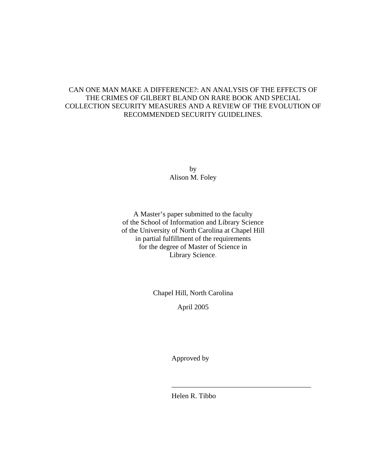# CAN ONE MAN MAKE A DIFFERENCE?: AN ANALYSIS OF THE EFFECTS OF THE CRIMES OF GILBERT BLAND ON RARE BOOK AND SPECIAL COLLECTION SECURITY MEASURES AND A REVIEW OF THE EVOLUTION OF RECOMMENDED SECURITY GUIDELINES.

by Alison M. Foley

A Master's paper submitted to the faculty of the School of Information and Library Science of the University of North Carolina at Chapel Hill in partial fulfillment of the requirements for the degree of Master of Science in Library Science.

Chapel Hill, North Carolina

April 2005

Approved by

Helen R. Tibbo

\_\_\_\_\_\_\_\_\_\_\_\_\_\_\_\_\_\_\_\_\_\_\_\_\_\_\_\_\_\_\_\_\_\_\_\_\_\_\_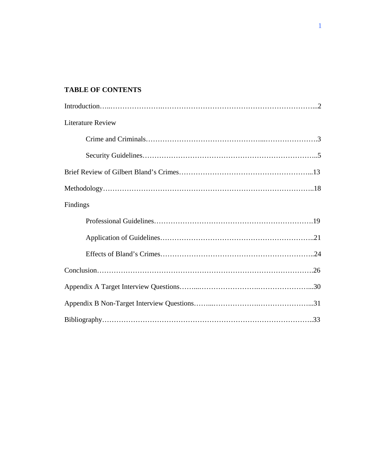# **TABLE OF CONTENTS**

| <b>Literature Review</b> |
|--------------------------|
|                          |
|                          |
|                          |
|                          |
| Findings                 |
|                          |
|                          |
|                          |
|                          |
|                          |
|                          |
|                          |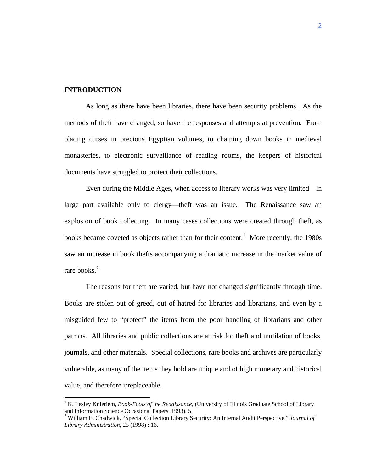### **INTRODUCTION**

 $\overline{a}$ 

As long as there have been libraries, there have been security problems. As the methods of theft have changed, so have the responses and attempts at prevention. From placing curses in precious Egyptian volumes, to chaining down books in medieval monasteries, to electronic surveillance of reading rooms, the keepers of historical documents have struggled to protect their collections.

Even during the Middle Ages, when access to literary works was very limited—in large part available only to clergy—theft was an issue. The Renaissance saw an explosion of book collecting. In many cases collections were created through theft, as books became coveted as objects rather than for their content.<sup>[1](#page-3-0)</sup> More recently, the 1980s saw an increase in book thefts accompanying a dramatic increase in the market value of rare books.<sup>[2](#page-3-1)</sup>

The reasons for theft are varied, but have not changed significantly through time. Books are stolen out of greed, out of hatred for libraries and librarians, and even by a misguided few to "protect" the items from the poor handling of librarians and other patrons. All libraries and public collections are at risk for theft and mutilation of books, journals, and other materials. Special collections, rare books and archives are particularly vulnerable, as many of the items they hold are unique and of high monetary and historical value, and therefore irreplaceable.

<span id="page-3-0"></span><sup>&</sup>lt;sup>1</sup> K. Lesley Knieriem, *Book-Fools of the Renaissance*, (University of Illinois Graduate School of Library and Information Science Occasional Papers, 1993), 5.

<span id="page-3-1"></span><sup>2</sup> William E. Chadwick, "Special Collection Library Security: An Internal Audit Perspective." *Journal of Library Administration*, 25 (1998) : 16.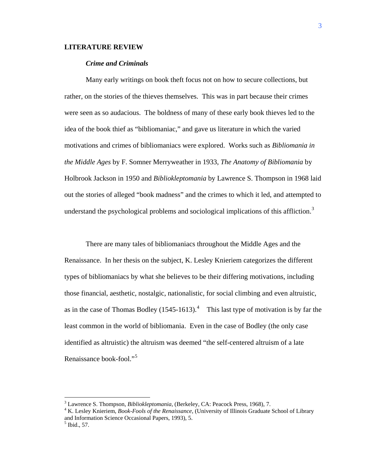### **LITERATURE REVIEW**

### *Crime and Criminals*

Many early writings on book theft focus not on how to secure collections, but rather, on the stories of the thieves themselves. This was in part because their crimes were seen as so audacious. The boldness of many of these early book thieves led to the idea of the book thief as "bibliomaniac," and gave us literature in which the varied motivations and crimes of bibliomaniacs were explored. Works such as *Bibliomania in the Middle Ages* by F. Somner Merryweather in 1933, *The Anatomy of Bibliomania* by Holbrook Jackson in 1950 and *Bibliokleptomania* by Lawrence S. Thompson in 1968 laid out the stories of alleged "book madness" and the crimes to which it led, and attempted to understand the psychological problems and sociological implications of this affliction.<sup>[3](#page-4-0)</sup>

There are many tales of bibliomaniacs throughout the Middle Ages and the Renaissance. In her thesis on the subject, K. Lesley Knieriem categorizes the different types of bibliomaniacs by what she believes to be their differing motivations, including those financial, aesthetic, nostalgic, nationalistic, for social climbing and even altruistic, as in the case of Thomas Bodley  $(1545-1613)$  $(1545-1613)$  $(1545-1613)$ .<sup>4</sup> This last type of motivation is by far the least common in the world of bibliomania. Even in the case of Bodley (the only case identified as altruistic) the altruism was deemed "the self-centered altruism of a late Renaissance book-fool."[5](#page-4-2)

<sup>&</sup>lt;sup>3</sup> Lawrence S. Thompson, *Bibliokleptomania*, (Berkeley, CA: Peacock Press, 1968), 7.<br><sup>4</sup> K. Leeley Knigriam, Beek Feels of the Bangissance (University of Illineis Graduate)

<span id="page-4-1"></span><span id="page-4-0"></span>K. Lesley Knieriem, *Book-Fools of the Renaissance*, (University of Illinois Graduate School of Library and Information Science Occasional Papers, 1993), 5.

<span id="page-4-2"></span> $<sup>5</sup>$  Ibid., 57.</sup>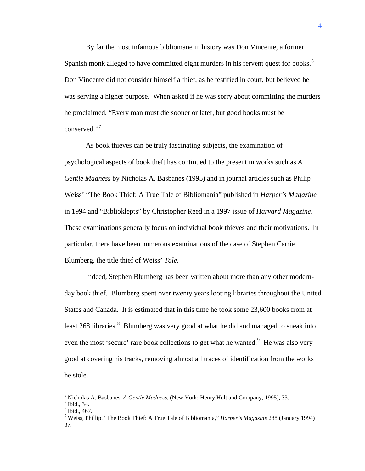By far the most infamous bibliomane in history was Don Vincente, a former Spanish monk alleged to have committed eight murders in his fervent quest for books.<sup>[6](#page-5-0)</sup> Don Vincente did not consider himself a thief, as he testified in court, but believed he was serving a higher purpose. When asked if he was sorry about committing the murders he proclaimed, "Every man must die sooner or later, but good books must be conserved."[7](#page-5-1)

As book thieves can be truly fascinating subjects, the examination of psychological aspects of book theft has continued to the present in works such as *A Gentle Madness* by Nicholas A. Basbanes (1995) and in journal articles such as Philip Weiss' "The Book Thief: A True Tale of Bibliomania" published in *Harper's Magazine* in 1994 and "Biblioklepts" by Christopher Reed in a 1997 issue of *Harvard Magazine*. These examinations generally focus on individual book thieves and their motivations. In particular, there have been numerous examinations of the case of Stephen Carrie Blumberg, the title thief of Weiss' *Tale*.

Indeed, Stephen Blumberg has been written about more than any other modernday book thief. Blumberg spent over twenty years looting libraries throughout the United States and Canada. It is estimated that in this time he took some 23,600 books from at least 26[8](#page-5-2) libraries.<sup>8</sup> Blumberg was very good at what he did and managed to sneak into even the most 'secure' rare book collections to get what he wanted.<sup>[9](#page-5-3)</sup> He was also very good at covering his tracks, removing almost all traces of identification from the works he stole.

<span id="page-5-0"></span><sup>&</sup>lt;sup>6</sup> Nicholas A. Basbanes, *A Gentle Madness*, (New York: Henry Holt and Company, 1995), 33.  $\frac{7 \text{ Ibid } 34}{24}$ 

<span id="page-5-1"></span> $<sup>7</sup>$  Ibid., 34.</sup>

<span id="page-5-2"></span><sup>8</sup> Ibid., 467.

<span id="page-5-3"></span><sup>9</sup> Weiss, Phillip. "The Book Thief: A True Tale of Bibliomania," *Harper's Magazine* 288 (January 1994) : 37.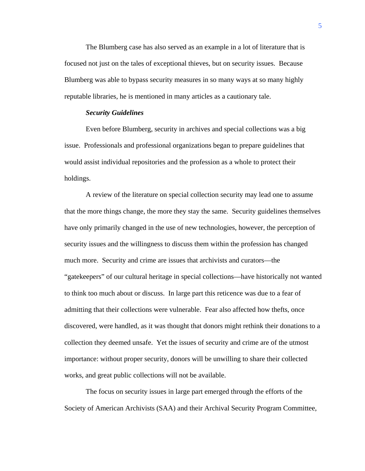The Blumberg case has also served as an example in a lot of literature that is focused not just on the tales of exceptional thieves, but on security issues. Because Blumberg was able to bypass security measures in so many ways at so many highly reputable libraries, he is mentioned in many articles as a cautionary tale.

#### *Security Guidelines*

Even before Blumberg, security in archives and special collections was a big issue. Professionals and professional organizations began to prepare guidelines that would assist individual repositories and the profession as a whole to protect their holdings.

A review of the literature on special collection security may lead one to assume that the more things change, the more they stay the same. Security guidelines themselves have only primarily changed in the use of new technologies, however, the perception of security issues and the willingness to discuss them within the profession has changed much more. Security and crime are issues that archivists and curators—the "gatekeepers" of our cultural heritage in special collections—have historically not wanted to think too much about or discuss. In large part this reticence was due to a fear of admitting that their collections were vulnerable. Fear also affected how thefts, once discovered, were handled, as it was thought that donors might rethink their donations to a collection they deemed unsafe. Yet the issues of security and crime are of the utmost importance: without proper security, donors will be unwilling to share their collected works, and great public collections will not be available.

The focus on security issues in large part emerged through the efforts of the Society of American Archivists (SAA) and their Archival Security Program Committee,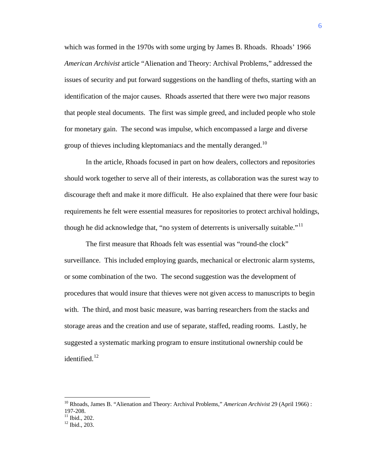which was formed in the 1970s with some urging by James B. Rhoads. Rhoads' 1966 *American Archivist* article "Alienation and Theory: Archival Problems," addressed the issues of security and put forward suggestions on the handling of thefts, starting with an identification of the major causes. Rhoads asserted that there were two major reasons that people steal documents. The first was simple greed, and included people who stole for monetary gain. The second was impulse, which encompassed a large and diverse group of thieves including kleptomaniacs and the mentally deranged.<sup>[10](#page-7-0)</sup>

 In the article, Rhoads focused in part on how dealers, collectors and repositories should work together to serve all of their interests, as collaboration was the surest way to discourage theft and make it more difficult. He also explained that there were four basic requirements he felt were essential measures for repositories to protect archival holdings, though he did acknowledge that, "no system of deterrents is universally suitable."<sup>[11](#page-7-1)</sup>

The first measure that Rhoads felt was essential was "round-the clock" surveillance. This included employing guards, mechanical or electronic alarm systems, or some combination of the two. The second suggestion was the development of procedures that would insure that thieves were not given access to manuscripts to begin with. The third, and most basic measure, was barring researchers from the stacks and storage areas and the creation and use of separate, staffed, reading rooms. Lastly, he suggested a systematic marking program to ensure institutional ownership could be identified.<sup>[12](#page-7-2)</sup>

<span id="page-7-0"></span><sup>10</sup> Rhoads, James B. "Alienation and Theory: Archival Problems," *American Archivist* 29 (April 1966) : 197-208.

<span id="page-7-1"></span> $11$  Ibid., 202.

<span id="page-7-2"></span><sup>12</sup> Ibid., 203.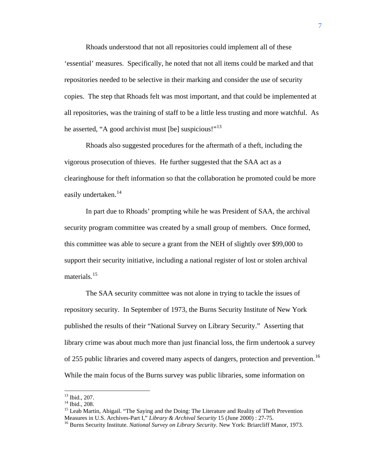Rhoads understood that not all repositories could implement all of these 'essential' measures. Specifically, he noted that not all items could be marked and that repositories needed to be selective in their marking and consider the use of security copies. The step that Rhoads felt was most important, and that could be implemented at all repositories, was the training of staff to be a little less trusting and more watchful. As he asserted, "A good archivist must [be] suspicious!"<sup>[13](#page-8-0)</sup>

Rhoads also suggested procedures for the aftermath of a theft, including the vigorous prosecution of thieves. He further suggested that the SAA act as a clearinghouse for theft information so that the collaboration he promoted could be more easily undertaken.<sup>[14](#page-8-1)</sup>

In part due to Rhoads' prompting while he was President of SAA, the archival security program committee was created by a small group of members. Once formed, this committee was able to secure a grant from the NEH of slightly over \$99,000 to support their security initiative, including a national register of lost or stolen archival materials.<sup>[15](#page-8-2)</sup>

The SAA security committee was not alone in trying to tackle the issues of repository security. In September of 1973, the Burns Security Institute of New York published the results of their "National Survey on Library Security." Asserting that library crime was about much more than just financial loss, the firm undertook a survey of 255 public libraries and covered many aspects of dangers, protection and prevention.<sup>[16](#page-8-3)</sup> While the main focus of the Burns survey was public libraries, some information on

<sup>13</sup> Ibid., 207.

<span id="page-8-0"></span><sup>&</sup>lt;sup>14</sup> Ibid., 208.

<span id="page-8-3"></span><span id="page-8-2"></span><span id="page-8-1"></span><sup>&</sup>lt;sup>15</sup> Leab Martin, Abigail. "The Saying and the Doing: The Literature and Reality of Theft Prevention Measures in U.S. Archives-Part I," *Library & Archival Security* 15 (June 2000) : 27-75. 16 Burns Security Institute. *National Survey on Library Security*. New York: Briarcliff Manor, 1973.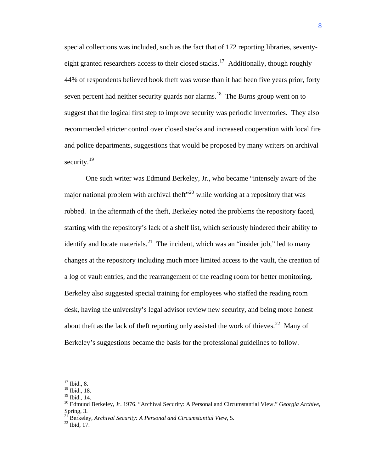special collections was included, such as the fact that of 172 reporting libraries, seventy-eight granted researchers access to their closed stacks.<sup>[17](#page-9-0)</sup> Additionally, though roughly 44% of respondents believed book theft was worse than it had been five years prior, forty seven percent had neither security guards nor alarms.<sup>[18](#page-9-1)</sup> The Burns group went on to suggest that the logical first step to improve security was periodic inventories. They also recommended stricter control over closed stacks and increased cooperation with local fire and police departments, suggestions that would be proposed by many writers on archival security. $19$ 

One such writer was Edmund Berkeley, Jr., who became "intensely aware of the major national problem with archival theft"<sup>[20](#page-9-3)</sup> while working at a repository that was robbed. In the aftermath of the theft, Berkeley noted the problems the repository faced, starting with the repository's lack of a shelf list, which seriously hindered their ability to identify and locate materials.<sup>[21](#page-9-4)</sup> The incident, which was an "insider job," led to many changes at the repository including much more limited access to the vault, the creation of a log of vault entries, and the rearrangement of the reading room for better monitoring. Berkeley also suggested special training for employees who staffed the reading room desk, having the university's legal advisor review new security, and being more honest about theft as the lack of theft reporting only assisted the work of thieves.<sup>[22](#page-9-5)</sup> Many of Berkeley's suggestions became the basis for the professional guidelines to follow.

 $17$  Ibid., 8.

<span id="page-9-1"></span><span id="page-9-0"></span><sup>18</sup> Ibid., 18.

<sup>19</sup> Ibid., 14.

<span id="page-9-3"></span><span id="page-9-2"></span><sup>20</sup> Edmund Berkeley, Jr. 1976. "Archival Security: A Personal and Circumstantial View." *Georgia Archive,* Spring, 3.

<span id="page-9-5"></span><span id="page-9-4"></span><sup>&</sup>lt;sup>21</sup> Berkeley, *Archival Security: A Personal and Circumstantial View*, 5.<br><sup>22</sup> Ibid. 17.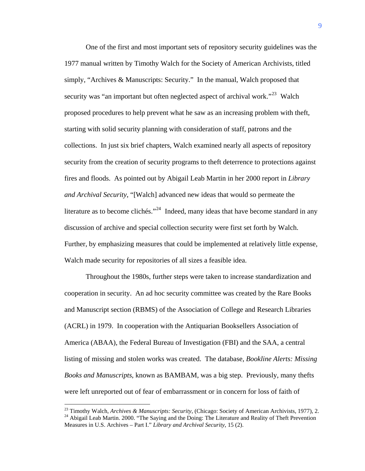One of the first and most important sets of repository security guidelines was the 1977 manual written by Timothy Walch for the Society of American Archivists, titled simply, "Archives & Manuscripts: Security." In the manual, Walch proposed that security was "an important but often neglected aspect of archival work."<sup>[23](#page-10-0)</sup> Walch proposed procedures to help prevent what he saw as an increasing problem with theft, starting with solid security planning with consideration of staff, patrons and the collections. In just six brief chapters, Walch examined nearly all aspects of repository security from the creation of security programs to theft deterrence to protections against fires and floods. As pointed out by Abigail Leab Martin in her 2000 report in *Library and Archival Security*, "[Walch] advanced new ideas that would so permeate the literature as to become clichés."<sup>[24](#page-10-1)</sup> Indeed, many ideas that have become standard in any discussion of archive and special collection security were first set forth by Walch. Further, by emphasizing measures that could be implemented at relatively little expense, Walch made security for repositories of all sizes a feasible idea.

Throughout the 1980s, further steps were taken to increase standardization and cooperation in security. An ad hoc security committee was created by the Rare Books and Manuscript section (RBMS) of the Association of College and Research Libraries (ACRL) in 1979. In cooperation with the Antiquarian Booksellers Association of America (ABAA), the Federal Bureau of Investigation (FBI) and the SAA, a central listing of missing and stolen works was created. The database, *Bookline Alerts: Missing Books and Manuscripts*, known as BAMBAM, was a big step. Previously, many thefts were left unreported out of fear of embarrassment or in concern for loss of faith of

<span id="page-10-1"></span><span id="page-10-0"></span><sup>&</sup>lt;sup>23</sup> Timothy Walch, *Archives & Manuscripts: Security*, (Chicago: Society of American Archivists, 1977), 2.<br><sup>24</sup> Abigail Leab Martin. 2000. "The Saying and the Doing: The Literature and Reality of Theft Prevention Measures in U.S. Archives – Part I." *Library and Archival Security*, 15 (2).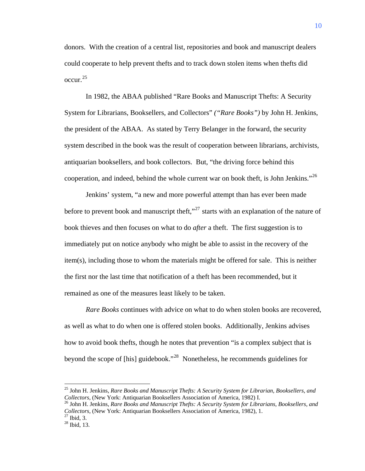donors. With the creation of a central list, repositories and book and manuscript dealers could cooperate to help prevent thefts and to track down stolen items when thefts did occur.[25](#page-11-0)

In 1982, the ABAA published "Rare Books and Manuscript Thefts: A Security System for Librarians, Booksellers, and Collectors" *("Rare Books")* by John H. Jenkins, the president of the ABAA. As stated by Terry Belanger in the forward, the security system described in the book was the result of cooperation between librarians, archivists, antiquarian booksellers, and book collectors. But, "the driving force behind this cooperation, and indeed, behind the whole current war on book theft, is John Jenkins."<sup>[26](#page-11-1)</sup>

Jenkins' system, "a new and more powerful attempt than has ever been made before to prevent book and manuscript theft,"<sup>[27](#page-11-2)</sup> starts with an explanation of the nature of book thieves and then focuses on what to do *after* a theft. The first suggestion is to immediately put on notice anybody who might be able to assist in the recovery of the item(s), including those to whom the materials might be offered for sale. This is neither the first nor the last time that notification of a theft has been recommended, but it remained as one of the measures least likely to be taken.

*Rare Books* continues with advice on what to do when stolen books are recovered, as well as what to do when one is offered stolen books. Additionally, Jenkins advises how to avoid book thefts, though he notes that prevention "is a complex subject that is beyond the scope of [his] guidebook."[28](#page-11-3) Nonetheless, he recommends guidelines for

<span id="page-11-0"></span><sup>25</sup> John H. Jenkins, *Rare Books and Manuscript Thefts: A Security System for Librarian, Booksellers, and Collectors*, (New York: Antiquarian Booksellers Association of America, 1982) I. 26 John H. Jenkins, *Rare Books and Manuscript Thefts: A Security System for Librarians, Booksellers, and* 

<span id="page-11-1"></span>*Collectors*, (New York: Antiquarian Booksellers Association of America, 1982), 1. <sup>27</sup> Ibid. 3.

<span id="page-11-3"></span><span id="page-11-2"></span><sup>28</sup> Ibid, 13.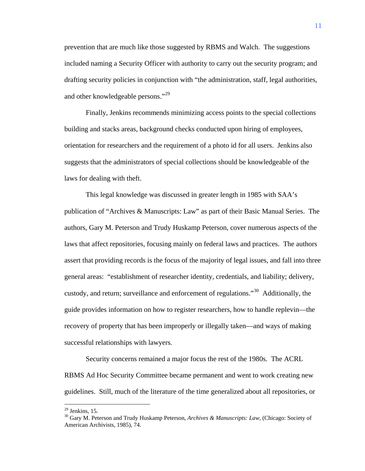prevention that are much like those suggested by RBMS and Walch. The suggestions included naming a Security Officer with authority to carry out the security program; and drafting security policies in conjunction with "the administration, staff, legal authorities, and other knowledgeable persons."[29](#page-12-0)

Finally, Jenkins recommends minimizing access points to the special collections building and stacks areas, background checks conducted upon hiring of employees, orientation for researchers and the requirement of a photo id for all users. Jenkins also suggests that the administrators of special collections should be knowledgeable of the laws for dealing with theft.

This legal knowledge was discussed in greater length in 1985 with SAA's publication of "Archives & Manuscripts: Law" as part of their Basic Manual Series. The authors, Gary M. Peterson and Trudy Huskamp Peterson, cover numerous aspects of the laws that affect repositories, focusing mainly on federal laws and practices. The authors assert that providing records is the focus of the majority of legal issues, and fall into three general areas: "establishment of researcher identity, credentials, and liability; delivery, custody, and return; surveillance and enforcement of regulations."[30](#page-12-1) Additionally, the guide provides information on how to register researchers, how to handle replevin—the recovery of property that has been improperly or illegally taken—and ways of making successful relationships with lawyers.

Security concerns remained a major focus the rest of the 1980s. The ACRL RBMS Ad Hoc Security Committee became permanent and went to work creating new guidelines. Still, much of the literature of the time generalized about all repositories, or

<span id="page-12-0"></span> $29$  Jenkins, 15.

<span id="page-12-1"></span><sup>30</sup> Gary M. Peterson and Trudy Huskamp Peterson, *Archives & Manuscripts: Law,* (Chicago: Society of American Archivists, 1985), 74.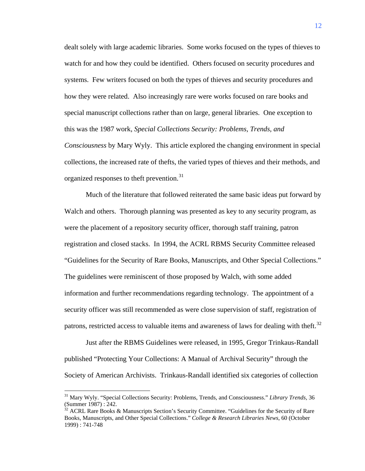dealt solely with large academic libraries. Some works focused on the types of thieves to watch for and how they could be identified. Others focused on security procedures and systems. Few writers focused on both the types of thieves and security procedures and how they were related. Also increasingly rare were works focused on rare books and special manuscript collections rather than on large, general libraries. One exception to this was the 1987 work, *Special Collections Security: Problems, Trends, and Consciousness* by Mary Wyly. This article explored the changing environment in special collections, the increased rate of thefts, the varied types of thieves and their methods, and

organized responses to theft prevention.<sup>[31](#page-13-0)</sup>

 $\overline{a}$ 

Much of the literature that followed reiterated the same basic ideas put forward by Walch and others. Thorough planning was presented as key to any security program, as were the placement of a repository security officer, thorough staff training, patron registration and closed stacks. In 1994, the ACRL RBMS Security Committee released "Guidelines for the Security of Rare Books, Manuscripts, and Other Special Collections." The guidelines were reminiscent of those proposed by Walch, with some added information and further recommendations regarding technology. The appointment of a security officer was still recommended as were close supervision of staff, registration of patrons, restricted access to valuable items and awareness of laws for dealing with theft.<sup>[32](#page-13-1)</sup>

Just after the RBMS Guidelines were released, in 1995, Gregor Trinkaus-Randall published "Protecting Your Collections: A Manual of Archival Security" through the Society of American Archivists. Trinkaus-Randall identified six categories of collection

<span id="page-13-0"></span><sup>31</sup> Mary Wyly. "Special Collections Security: Problems, Trends, and Consciousness." *Library Trends*, 36 (Summer 1987) : 242.

<span id="page-13-1"></span> $32$  ACRL Rare Books & Manuscripts Section's Security Committee. "Guidelines for the Security of Rare Books, Manuscripts, and Other Special Collections." *College & Research Libraries News*, 60 (October 1999) : 741-748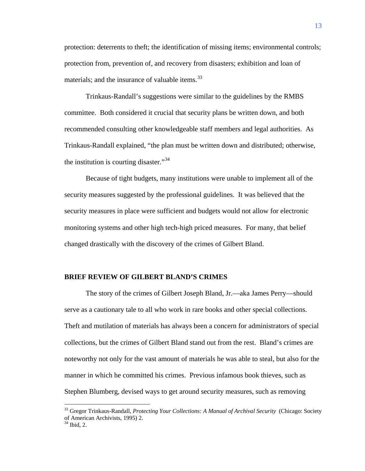protection: deterrents to theft; the identification of missing items; environmental controls; protection from, prevention of, and recovery from disasters; exhibition and loan of materials; and the insurance of valuable items.<sup>[33](#page-14-0)</sup>

Trinkaus-Randall's suggestions were similar to the guidelines by the RMBS committee. Both considered it crucial that security plans be written down, and both recommended consulting other knowledgeable staff members and legal authorities. As Trinkaus-Randall explained, "the plan must be written down and distributed; otherwise, the institution is courting disaster."<sup>[34](#page-14-1)</sup>

Because of tight budgets, many institutions were unable to implement all of the security measures suggested by the professional guidelines. It was believed that the security measures in place were sufficient and budgets would not allow for electronic monitoring systems and other high tech-high priced measures. For many, that belief changed drastically with the discovery of the crimes of Gilbert Bland.

### **BRIEF REVIEW OF GILBERT BLAND'S CRIMES**

The story of the crimes of Gilbert Joseph Bland, Jr.—aka James Perry—should serve as a cautionary tale to all who work in rare books and other special collections. Theft and mutilation of materials has always been a concern for administrators of special collections, but the crimes of Gilbert Bland stand out from the rest. Bland's crimes are noteworthy not only for the vast amount of materials he was able to steal, but also for the manner in which he committed his crimes. Previous infamous book thieves, such as Stephen Blumberg, devised ways to get around security measures, such as removing

<span id="page-14-0"></span><sup>33</sup> Gregor Trinkaus-Randall, *Protecting Your Collections: A Manual of Archival Security* (Chicago: Society of American Archivists, 1995) 2.

<span id="page-14-1"></span> $34$  Ibid, 2.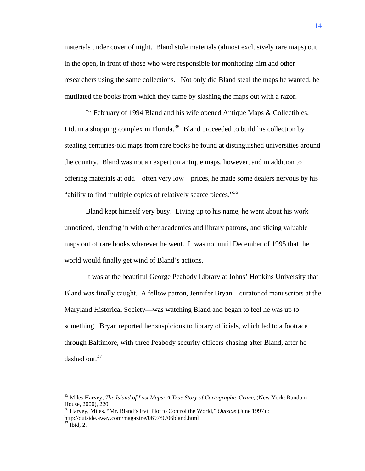materials under cover of night. Bland stole materials (almost exclusively rare maps) out in the open, in front of those who were responsible for monitoring him and other researchers using the same collections. Not only did Bland steal the maps he wanted, he mutilated the books from which they came by slashing the maps out with a razor.

In February of 1994 Bland and his wife opened Antique Maps & Collectibles, Ltd. in a shopping complex in Florida.<sup>[35](#page-15-0)</sup> Bland proceeded to build his collection by stealing centuries-old maps from rare books he found at distinguished universities around the country. Bland was not an expert on antique maps, however, and in addition to offering materials at odd—often very low—prices, he made some dealers nervous by his "ability to find multiple copies of relatively scarce pieces."<sup>[36](#page-15-1)</sup>

Bland kept himself very busy. Living up to his name, he went about his work unnoticed, blending in with other academics and library patrons, and slicing valuable maps out of rare books wherever he went. It was not until December of 1995 that the world would finally get wind of Bland's actions.

It was at the beautiful George Peabody Library at Johns' Hopkins University that Bland was finally caught. A fellow patron, Jennifer Bryan—curator of manuscripts at the Maryland Historical Society—was watching Bland and began to feel he was up to something. Bryan reported her suspicions to library officials, which led to a footrace through Baltimore, with three Peabody security officers chasing after Bland, after he dashed out.<sup>[37](#page-15-2)</sup>

<span id="page-15-0"></span><sup>35</sup> Miles Harvey, *The Island of Lost Maps: A True Story of Cartographic Crime*, (New York: Random House, 2000), 220.

<span id="page-15-1"></span><sup>36</sup> Harvey, Miles. "Mr. Bland's Evil Plot to Control the World," *Outside* (June 1997) : http://outside.away.com/magazine/0697/9706bland.html

<span id="page-15-2"></span> $37$  Ibid, 2.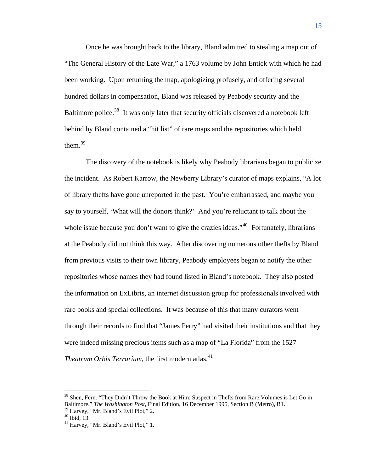Once he was brought back to the library, Bland admitted to stealing a map out of "The General History of the Late War," a 1763 volume by John Entick with which he had been working. Upon returning the map, apologizing profusely, and offering several hundred dollars in compensation, Bland was released by Peabody security and the Baltimore police.<sup>[38](#page-16-0)</sup> It was only later that security officials discovered a notebook left behind by Bland contained a "hit list" of rare maps and the repositories which held them. $39$ 

The discovery of the notebook is likely why Peabody librarians began to publicize the incident. As Robert Karrow, the Newberry Library's curator of maps explains, "A lot of library thefts have gone unreported in the past. You're embarrassed, and maybe you say to yourself, 'What will the donors think?' And you're reluctant to talk about the whole issue because you don't want to give the crazies ideas."<sup>[40](#page-16-2)</sup> Fortunately, librarians at the Peabody did not think this way. After discovering numerous other thefts by Bland from previous visits to their own library, Peabody employees began to notify the other repositories whose names they had found listed in Bland's notebook. They also posted the information on ExLibris, an internet discussion group for professionals involved with rare books and special collections. It was because of this that many curators went through their records to find that "James Perry" had visited their institutions and that they were indeed missing precious items such as a map of "La Florida" from the 1527 *Theatrum Orbis Terrarium*, the first modern atlas.<sup>[41](#page-16-3)</sup>

<span id="page-16-0"></span><sup>&</sup>lt;sup>38</sup> Shen, Fern. "They Didn't Throw the Book at Him; Suspect in Thefts from Rare Volumes is Let Go in Baltimore." *The Washington Post*, Final Edition, 16 December 1995, Section B (Metro), B1.

<span id="page-16-1"></span><sup>39</sup> Harvey, "Mr. Bland's Evil Plot," 2.

<sup>40</sup> Ibid, 13.

<span id="page-16-3"></span><span id="page-16-2"></span><sup>41</sup> Harvey, "Mr. Bland's Evil Plot," 1.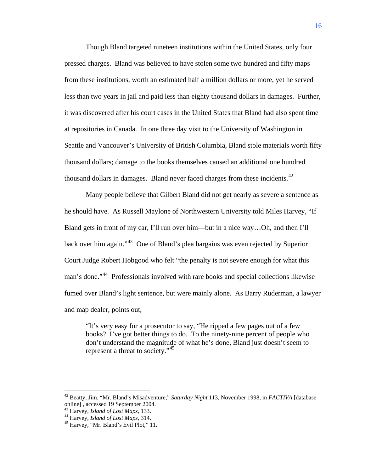Though Bland targeted nineteen institutions within the United States, only four pressed charges. Bland was believed to have stolen some two hundred and fifty maps from these institutions, worth an estimated half a million dollars or more, yet he served less than two years in jail and paid less than eighty thousand dollars in damages. Further, it was discovered after his court cases in the United States that Bland had also spent time at repositories in Canada. In one three day visit to the University of Washington in Seattle and Vancouver's University of British Columbia, Bland stole materials worth fifty thousand dollars; damage to the books themselves caused an additional one hundred thousand dollars in damages. Bland never faced charges from these incidents.<sup>[42](#page-17-0)</sup>

Many people believe that Gilbert Bland did not get nearly as severe a sentence as he should have. As Russell Maylone of Northwestern University told Miles Harvey, "If Bland gets in front of my car, I'll run over him—but in a nice way…Oh, and then I'll back over him again."[43](#page-17-1) One of Bland's plea bargains was even rejected by Superior Court Judge Robert Hobgood who felt "the penalty is not severe enough for what this man's done."[44](#page-17-2) Professionals involved with rare books and special collections likewise fumed over Bland's light sentence, but were mainly alone. As Barry Ruderman, a lawyer and map dealer, points out,

"It's very easy for a prosecutor to say, "He ripped a few pages out of a few books? I've got better things to do. To the ninety-nine percent of people who don't understand the magnitude of what he's done, Bland just doesn't seem to represent a threat to society."<sup>[45](#page-17-3)</sup>

<span id="page-17-0"></span><sup>42</sup> Beatty, Jim. "Mr. Bland's Misadventure," *Saturday Night* 113, November 1998, in *FACTIVA* [database online], accessed 19 September 2004.<br><sup>43</sup> Harvey, *Island of Lost Maps*, 133.

<span id="page-17-2"></span><span id="page-17-1"></span><sup>&</sup>lt;sup>44</sup> Harvey, *Island of Lost Maps*, 314.<br><sup>45</sup> Harvey, *''Mr. Bland's Evil Plot*," 11.

<span id="page-17-3"></span>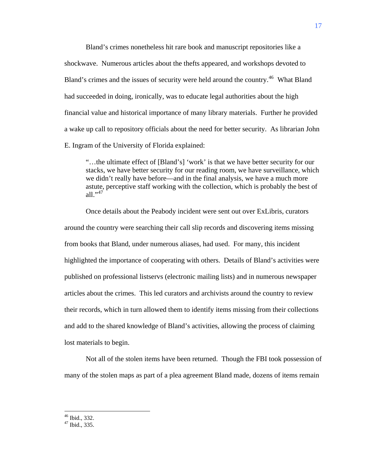Bland's crimes nonetheless hit rare book and manuscript repositories like a shockwave. Numerous articles about the thefts appeared, and workshops devoted to Bland's crimes and the issues of security were held around the country.<sup>[46](#page-18-0)</sup> What Bland had succeeded in doing, ironically, was to educate legal authorities about the high financial value and historical importance of many library materials. Further he provided a wake up call to repository officials about the need for better security. As librarian John E. Ingram of the University of Florida explained:

"…the ultimate effect of [Bland's] 'work' is that we have better security for our stacks, we have better security for our reading room, we have surveillance, which we didn't really have before—and in the final analysis, we have a much more astute, perceptive staff working with the collection, which is probably the best of all." $^{47}$  $^{47}$  $^{47}$ 

Once details about the Peabody incident were sent out over ExLibris, curators around the country were searching their call slip records and discovering items missing from books that Bland, under numerous aliases, had used. For many, this incident highlighted the importance of cooperating with others. Details of Bland's activities were published on professional listservs (electronic mailing lists) and in numerous newspaper articles about the crimes. This led curators and archivists around the country to review their records, which in turn allowed them to identify items missing from their collections and add to the shared knowledge of Bland's activities, allowing the process of claiming lost materials to begin.

Not all of the stolen items have been returned. Though the FBI took possession of many of the stolen maps as part of a plea agreement Bland made, dozens of items remain

<sup>46</sup> Ibid., 332.

<span id="page-18-1"></span><span id="page-18-0"></span><sup>47</sup> Ibid., 335.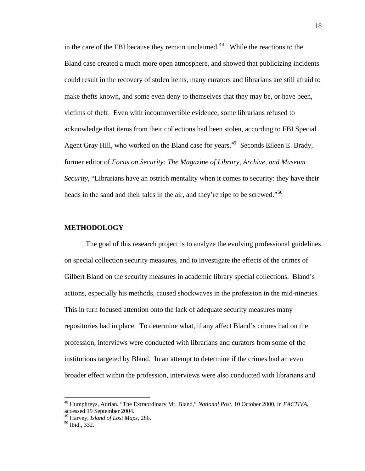in the care of the FBI because they remain unclaimed. $48$  While the reactions to the Bland case created a much more open atmosphere, and showed that publicizing incidents could result in the recovery of stolen items, many curators and librarians are still afraid to make thefts known, and some even deny to themselves that they may be, or have been, victims of theft. Even with incontrovertible evidence, some librarians refused to acknowledge that items from their collections had been stolen, according to FBI Special Agent Gray Hill, who worked on the Bland case for years.<sup>[49](#page-19-1)</sup> Seconds Eileen E. Brady, former editor of *Focus on Security: The Magazine of Library, Archive, and Museum Security*, "Librarians have an ostrich mentality when it comes to security: they have their heads in the sand and their tales in the air, and they're ripe to be screwed."<sup>[50](#page-19-2)</sup>

### **METHODOLOGY**

The goal of this research project is to analyze the evolving professional guidelines on special collection security measures, and to investigate the effects of the crimes of Gilbert Bland on the security measures in academic library special collections. Bland's actions, especially his methods, caused shockwaves in the profession in the mid-nineties. This in turn focused attention onto the lack of adequate security measures many repositories had in place. To determine what, if any affect Bland's crimes had on the profession, interviews were conducted with librarians and curators from some of the institutions targeted by Bland. In an attempt to determine if the crimes had an even broader effect within the profession, interviews were also conducted with librarians and

<span id="page-19-0"></span><sup>48</sup> Humphreys, Adrian. "The Extraordinary Mr. Bland," *National Post*, 10 October 2000, in *FACTIVA*, accessed 19 September 2004.

<span id="page-19-2"></span><span id="page-19-1"></span><sup>&</sup>lt;sup>49</sup> Harvey, *Island of Lost Maps*, 286.<br><sup>50</sup> Ibid., 332.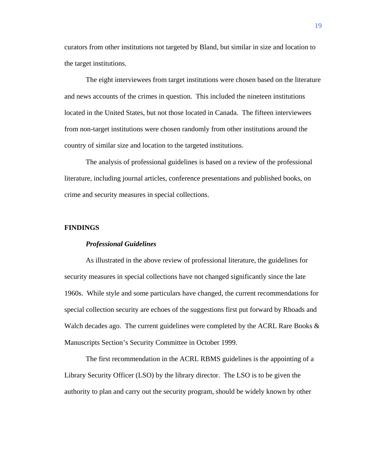curators from other institutions not targeted by Bland, but similar in size and location to the target institutions.

The eight interviewees from target institutions were chosen based on the literature and news accounts of the crimes in question. This included the nineteen institutions located in the United States, but not those located in Canada. The fifteen interviewees from non-target institutions were chosen randomly from other institutions around the country of similar size and location to the targeted institutions.

The analysis of professional guidelines is based on a review of the professional literature, including journal articles, conference presentations and published books, on crime and security measures in special collections.

### **FINDINGS**

#### *Professional Guidelines*

As illustrated in the above review of professional literature, the guidelines for security measures in special collections have not changed significantly since the late 1960s. While style and some particulars have changed, the current recommendations for special collection security are echoes of the suggestions first put forward by Rhoads and Walch decades ago. The current guidelines were completed by the ACRL Rare Books  $\&$ Manuscripts Section's Security Committee in October 1999.

The first recommendation in the ACRL RBMS guidelines is the appointing of a Library Security Officer (LSO) by the library director. The LSO is to be given the authority to plan and carry out the security program, should be widely known by other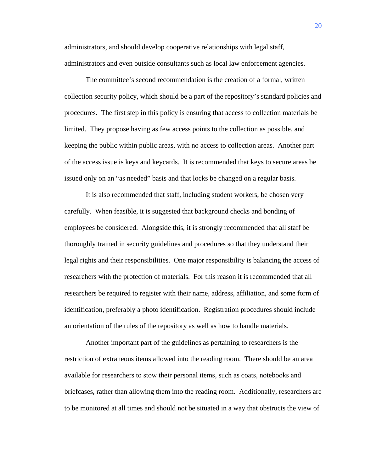administrators, and should develop cooperative relationships with legal staff, administrators and even outside consultants such as local law enforcement agencies.

The committee's second recommendation is the creation of a formal, written collection security policy, which should be a part of the repository's standard policies and procedures. The first step in this policy is ensuring that access to collection materials be limited. They propose having as few access points to the collection as possible, and keeping the public within public areas, with no access to collection areas. Another part of the access issue is keys and keycards. It is recommended that keys to secure areas be issued only on an "as needed" basis and that locks be changed on a regular basis.

It is also recommended that staff, including student workers, be chosen very carefully. When feasible, it is suggested that background checks and bonding of employees be considered. Alongside this, it is strongly recommended that all staff be thoroughly trained in security guidelines and procedures so that they understand their legal rights and their responsibilities. One major responsibility is balancing the access of researchers with the protection of materials. For this reason it is recommended that all researchers be required to register with their name, address, affiliation, and some form of identification, preferably a photo identification. Registration procedures should include an orientation of the rules of the repository as well as how to handle materials.

Another important part of the guidelines as pertaining to researchers is the restriction of extraneous items allowed into the reading room. There should be an area available for researchers to stow their personal items, such as coats, notebooks and briefcases, rather than allowing them into the reading room. Additionally, researchers are to be monitored at all times and should not be situated in a way that obstructs the view of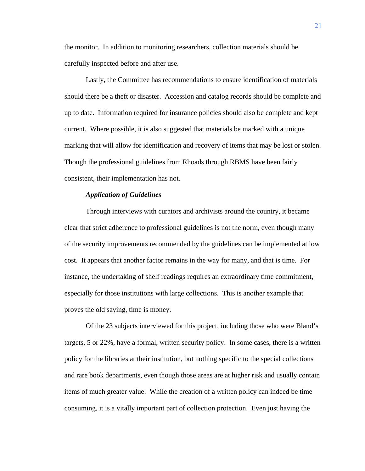the monitor. In addition to monitoring researchers, collection materials should be carefully inspected before and after use.

Lastly, the Committee has recommendations to ensure identification of materials should there be a theft or disaster. Accession and catalog records should be complete and up to date. Information required for insurance policies should also be complete and kept current. Where possible, it is also suggested that materials be marked with a unique marking that will allow for identification and recovery of items that may be lost or stolen. Though the professional guidelines from Rhoads through RBMS have been fairly consistent, their implementation has not.

#### *Application of Guidelines*

 Through interviews with curators and archivists around the country, it became clear that strict adherence to professional guidelines is not the norm, even though many of the security improvements recommended by the guidelines can be implemented at low cost. It appears that another factor remains in the way for many, and that is time. For instance, the undertaking of shelf readings requires an extraordinary time commitment, especially for those institutions with large collections. This is another example that proves the old saying, time is money.

Of the 23 subjects interviewed for this project, including those who were Bland's targets, 5 or 22%, have a formal, written security policy. In some cases, there is a written policy for the libraries at their institution, but nothing specific to the special collections and rare book departments, even though those areas are at higher risk and usually contain items of much greater value. While the creation of a written policy can indeed be time consuming, it is a vitally important part of collection protection. Even just having the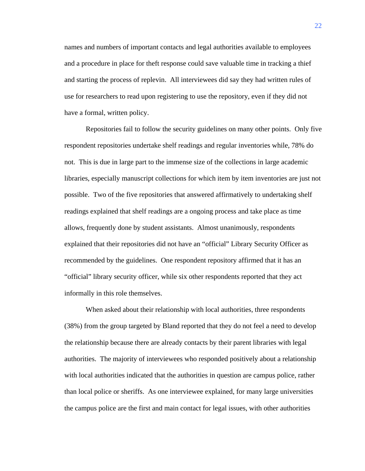names and numbers of important contacts and legal authorities available to employees and a procedure in place for theft response could save valuable time in tracking a thief and starting the process of replevin. All interviewees did say they had written rules of use for researchers to read upon registering to use the repository, even if they did not have a formal, written policy.

Repositories fail to follow the security guidelines on many other points. Only five respondent repositories undertake shelf readings and regular inventories while, 78% do not. This is due in large part to the immense size of the collections in large academic libraries, especially manuscript collections for which item by item inventories are just not possible. Two of the five repositories that answered affirmatively to undertaking shelf readings explained that shelf readings are a ongoing process and take place as time allows, frequently done by student assistants. Almost unanimously, respondents explained that their repositories did not have an "official" Library Security Officer as recommended by the guidelines. One respondent repository affirmed that it has an "official" library security officer, while six other respondents reported that they act informally in this role themselves.

When asked about their relationship with local authorities, three respondents (38%) from the group targeted by Bland reported that they do not feel a need to develop the relationship because there are already contacts by their parent libraries with legal authorities. The majority of interviewees who responded positively about a relationship with local authorities indicated that the authorities in question are campus police, rather than local police or sheriffs. As one interviewee explained, for many large universities the campus police are the first and main contact for legal issues, with other authorities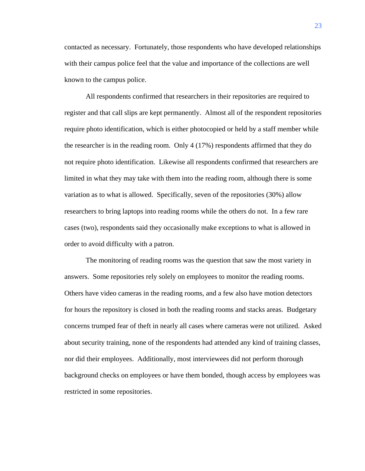contacted as necessary. Fortunately, those respondents who have developed relationships with their campus police feel that the value and importance of the collections are well known to the campus police.

All respondents confirmed that researchers in their repositories are required to register and that call slips are kept permanently. Almost all of the respondent repositories require photo identification, which is either photocopied or held by a staff member while the researcher is in the reading room. Only 4 (17%) respondents affirmed that they do not require photo identification. Likewise all respondents confirmed that researchers are limited in what they may take with them into the reading room, although there is some variation as to what is allowed. Specifically, seven of the repositories (30%) allow researchers to bring laptops into reading rooms while the others do not. In a few rare cases (two), respondents said they occasionally make exceptions to what is allowed in order to avoid difficulty with a patron.

The monitoring of reading rooms was the question that saw the most variety in answers. Some repositories rely solely on employees to monitor the reading rooms. Others have video cameras in the reading rooms, and a few also have motion detectors for hours the repository is closed in both the reading rooms and stacks areas. Budgetary concerns trumped fear of theft in nearly all cases where cameras were not utilized. Asked about security training, none of the respondents had attended any kind of training classes, nor did their employees. Additionally, most interviewees did not perform thorough background checks on employees or have them bonded, though access by employees was restricted in some repositories.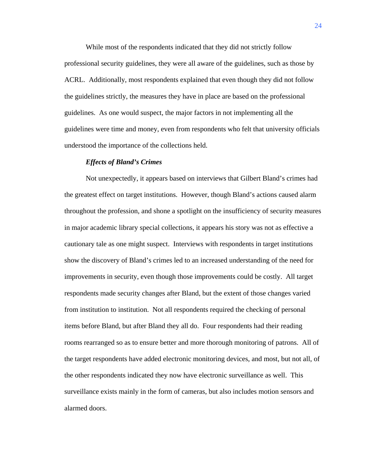While most of the respondents indicated that they did not strictly follow professional security guidelines, they were all aware of the guidelines, such as those by ACRL. Additionally, most respondents explained that even though they did not follow the guidelines strictly, the measures they have in place are based on the professional guidelines. As one would suspect, the major factors in not implementing all the guidelines were time and money, even from respondents who felt that university officials understood the importance of the collections held.

#### *Effects of Bland's Crimes*

Not unexpectedly, it appears based on interviews that Gilbert Bland's crimes had the greatest effect on target institutions. However, though Bland's actions caused alarm throughout the profession, and shone a spotlight on the insufficiency of security measures in major academic library special collections, it appears his story was not as effective a cautionary tale as one might suspect. Interviews with respondents in target institutions show the discovery of Bland's crimes led to an increased understanding of the need for improvements in security, even though those improvements could be costly. All target respondents made security changes after Bland, but the extent of those changes varied from institution to institution. Not all respondents required the checking of personal items before Bland, but after Bland they all do. Four respondents had their reading rooms rearranged so as to ensure better and more thorough monitoring of patrons. All of the target respondents have added electronic monitoring devices, and most, but not all, of the other respondents indicated they now have electronic surveillance as well. This surveillance exists mainly in the form of cameras, but also includes motion sensors and alarmed doors.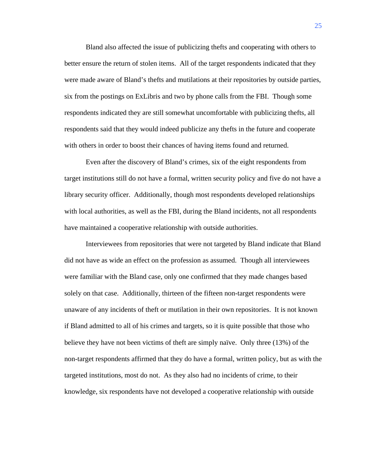Bland also affected the issue of publicizing thefts and cooperating with others to better ensure the return of stolen items. All of the target respondents indicated that they were made aware of Bland's thefts and mutilations at their repositories by outside parties, six from the postings on ExLibris and two by phone calls from the FBI. Though some respondents indicated they are still somewhat uncomfortable with publicizing thefts, all respondents said that they would indeed publicize any thefts in the future and cooperate with others in order to boost their chances of having items found and returned.

Even after the discovery of Bland's crimes, six of the eight respondents from target institutions still do not have a formal, written security policy and five do not have a library security officer. Additionally, though most respondents developed relationships with local authorities, as well as the FBI, during the Bland incidents, not all respondents have maintained a cooperative relationship with outside authorities.

Interviewees from repositories that were not targeted by Bland indicate that Bland did not have as wide an effect on the profession as assumed. Though all interviewees were familiar with the Bland case, only one confirmed that they made changes based solely on that case. Additionally, thirteen of the fifteen non-target respondents were unaware of any incidents of theft or mutilation in their own repositories. It is not known if Bland admitted to all of his crimes and targets, so it is quite possible that those who believe they have not been victims of theft are simply naïve. Only three (13%) of the non-target respondents affirmed that they do have a formal, written policy, but as with the targeted institutions, most do not. As they also had no incidents of crime, to their knowledge, six respondents have not developed a cooperative relationship with outside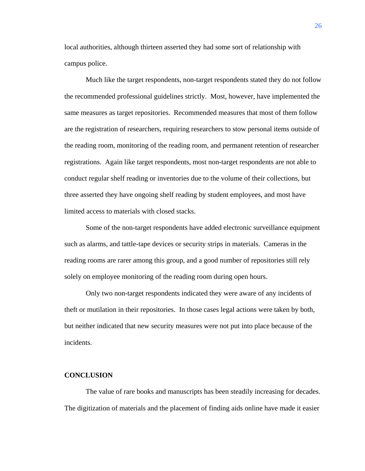local authorities, although thirteen asserted they had some sort of relationship with campus police.

Much like the target respondents, non-target respondents stated they do not follow the recommended professional guidelines strictly. Most, however, have implemented the same measures as target repositories. Recommended measures that most of them follow are the registration of researchers, requiring researchers to stow personal items outside of the reading room, monitoring of the reading room, and permanent retention of researcher registrations. Again like target respondents, most non-target respondents are not able to conduct regular shelf reading or inventories due to the volume of their collections, but three asserted they have ongoing shelf reading by student employees, and most have limited access to materials with closed stacks.

Some of the non-target respondents have added electronic surveillance equipment such as alarms, and tattle-tape devices or security strips in materials. Cameras in the reading rooms are rarer among this group, and a good number of repositories still rely solely on employee monitoring of the reading room during open hours.

Only two non-target respondents indicated they were aware of any incidents of theft or mutilation in their repositories. In those cases legal actions were taken by both, but neither indicated that new security measures were not put into place because of the incidents.

#### **CONCLUSION**

The value of rare books and manuscripts has been steadily increasing for decades. The digitization of materials and the placement of finding aids online have made it easier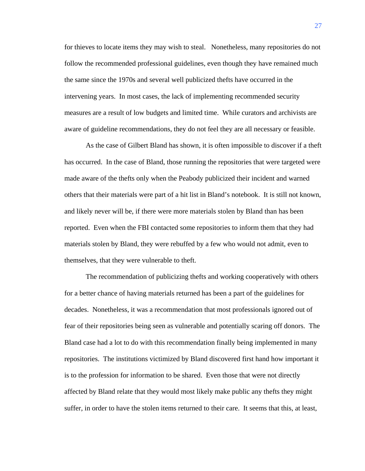for thieves to locate items they may wish to steal. Nonetheless, many repositories do not follow the recommended professional guidelines, even though they have remained much the same since the 1970s and several well publicized thefts have occurred in the intervening years. In most cases, the lack of implementing recommended security measures are a result of low budgets and limited time. While curators and archivists are aware of guideline recommendations, they do not feel they are all necessary or feasible.

As the case of Gilbert Bland has shown, it is often impossible to discover if a theft has occurred. In the case of Bland, those running the repositories that were targeted were made aware of the thefts only when the Peabody publicized their incident and warned others that their materials were part of a hit list in Bland's notebook. It is still not known, and likely never will be, if there were more materials stolen by Bland than has been reported. Even when the FBI contacted some repositories to inform them that they had materials stolen by Bland, they were rebuffed by a few who would not admit, even to themselves, that they were vulnerable to theft.

The recommendation of publicizing thefts and working cooperatively with others for a better chance of having materials returned has been a part of the guidelines for decades. Nonetheless, it was a recommendation that most professionals ignored out of fear of their repositories being seen as vulnerable and potentially scaring off donors. The Bland case had a lot to do with this recommendation finally being implemented in many repositories. The institutions victimized by Bland discovered first hand how important it is to the profession for information to be shared. Even those that were not directly affected by Bland relate that they would most likely make public any thefts they might suffer, in order to have the stolen items returned to their care. It seems that this, at least,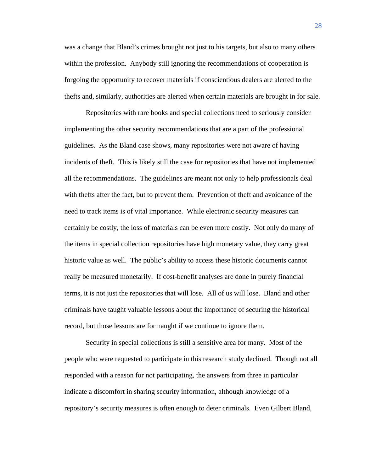was a change that Bland's crimes brought not just to his targets, but also to many others within the profession. Anybody still ignoring the recommendations of cooperation is forgoing the opportunity to recover materials if conscientious dealers are alerted to the thefts and, similarly, authorities are alerted when certain materials are brought in for sale.

Repositories with rare books and special collections need to seriously consider implementing the other security recommendations that are a part of the professional guidelines. As the Bland case shows, many repositories were not aware of having incidents of theft. This is likely still the case for repositories that have not implemented all the recommendations. The guidelines are meant not only to help professionals deal with thefts after the fact, but to prevent them. Prevention of theft and avoidance of the need to track items is of vital importance. While electronic security measures can certainly be costly, the loss of materials can be even more costly. Not only do many of the items in special collection repositories have high monetary value, they carry great historic value as well. The public's ability to access these historic documents cannot really be measured monetarily. If cost-benefit analyses are done in purely financial terms, it is not just the repositories that will lose. All of us will lose. Bland and other criminals have taught valuable lessons about the importance of securing the historical record, but those lessons are for naught if we continue to ignore them.

Security in special collections is still a sensitive area for many. Most of the people who were requested to participate in this research study declined. Though not all responded with a reason for not participating, the answers from three in particular indicate a discomfort in sharing security information, although knowledge of a repository's security measures is often enough to deter criminals. Even Gilbert Bland,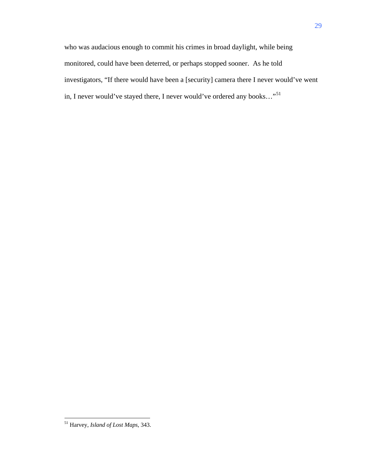who was audacious enough to commit his crimes in broad daylight, while being monitored, could have been deterred, or perhaps stopped sooner. As he told investigators, "If there would have been a [security] camera there I never would've went in, I never would've stayed there, I never would've ordered any books..."<sup>[51](#page-30-0)</sup>

<span id="page-30-0"></span><sup>51</sup> Harvey, *Island of Lost Maps*, 343.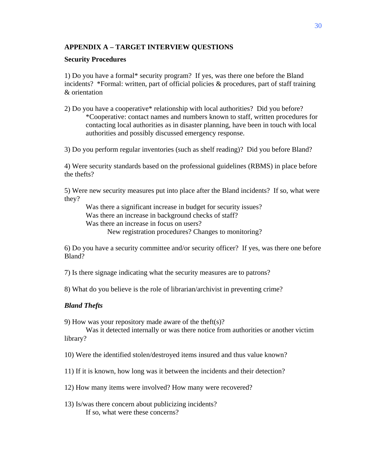# **APPENDIX A – TARGET INTERVIEW QUESTIONS**

# **Security Procedures**

1) Do you have a formal\* security program? If yes, was there one before the Bland incidents? \*Formal: written, part of official policies & procedures, part of staff training & orientation

- 2) Do you have a cooperative\* relationship with local authorities? Did you before? \*Cooperative: contact names and numbers known to staff, written procedures for contacting local authorities as in disaster planning, have been in touch with local authorities and possibly discussed emergency response.
- 3) Do you perform regular inventories (such as shelf reading)? Did you before Bland?

4) Were security standards based on the professional guidelines (RBMS) in place before the thefts?

5) Were new security measures put into place after the Bland incidents? If so, what were they?

Was there a significant increase in budget for security issues? Was there an increase in background checks of staff? Was there an increase in focus on users? New registration procedures? Changes to monitoring?

6) Do you have a security committee and/or security officer? If yes, was there one before Bland?

7) Is there signage indicating what the security measures are to patrons?

8) What do you believe is the role of librarian/archivist in preventing crime?

# *Bland Thefts*

9) How was your repository made aware of the theft(s)?

 Was it detected internally or was there notice from authorities or another victim library?

10) Were the identified stolen/destroyed items insured and thus value known?

- 11) If it is known, how long was it between the incidents and their detection?
- 12) How many items were involved? How many were recovered?
- 13) Is/was there concern about publicizing incidents? If so, what were these concerns?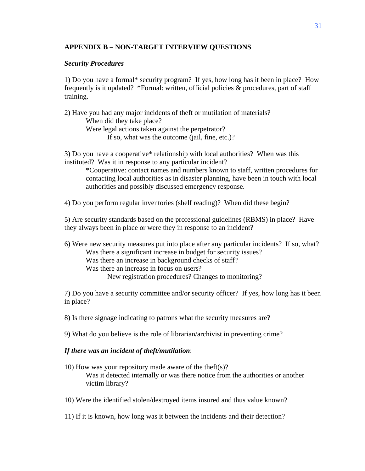# **APPENDIX B – NON-TARGET INTERVIEW QUESTIONS**

### *Security Procedures*

1) Do you have a formal\* security program? If yes, how long has it been in place? How frequently is it updated? \*Formal: written, official policies & procedures, part of staff training.

2) Have you had any major incidents of theft or mutilation of materials? When did they take place? Were legal actions taken against the perpetrator? If so, what was the outcome (jail, fine, etc.)?

3) Do you have a cooperative\* relationship with local authorities? When was this instituted? Was it in response to any particular incident?

\*Cooperative: contact names and numbers known to staff, written procedures for contacting local authorities as in disaster planning, have been in touch with local authorities and possibly discussed emergency response.

4) Do you perform regular inventories (shelf reading)? When did these begin?

5) Are security standards based on the professional guidelines (RBMS) in place? Have they always been in place or were they in response to an incident?

6) Were new security measures put into place after any particular incidents? If so, what? Was there a significant increase in budget for security issues? Was there an increase in background checks of staff? Was there an increase in focus on users? New registration procedures? Changes to monitoring?

7) Do you have a security committee and/or security officer? If yes, how long has it been in place?

8) Is there signage indicating to patrons what the security measures are?

9) What do you believe is the role of librarian/archivist in preventing crime?

# *If there was an incident of theft/mutilation*:

- 10) How was your repository made aware of the theft(s)? Was it detected internally or was there notice from the authorities or another victim library?
- 10) Were the identified stolen/destroyed items insured and thus value known?
- 11) If it is known, how long was it between the incidents and their detection?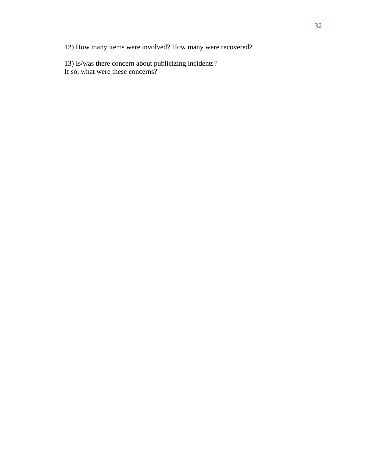12) How many items were involved? How many were recovered?

13) Is/was there concern about publicizing incidents? If so, what were these concerns?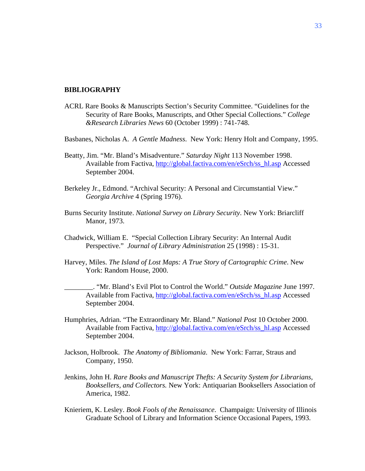### **BIBLIOGRAPHY**

- ACRL Rare Books & Manuscripts Section's Security Committee. "Guidelines for the Security of Rare Books, Manuscripts, and Other Special Collections." *College &Research Libraries News* 60 (October 1999) : 741-748.
- Basbanes, Nicholas A. *A Gentle Madness*. New York: Henry Holt and Company, 1995.
- Beatty, Jim. "Mr. Bland's Misadventure." *Saturday Night* 113 November 1998. Available from Factiva, [http://global.factiva.com/en/eSrch/ss\\_hl.asp](http://global.factiva.com/en/eSrch/ss_hl.asp) Accessed September 2004.
- Berkeley Jr., Edmond. "Archival Security: A Personal and Circumstantial View." *Georgia Archive* 4 (Spring 1976).
- Burns Security Institute. *National Survey on Library Security*. New York: Briarcliff Manor, 1973.
- Chadwick, William E. "Special Collection Library Security: An Internal Audit Perspective." *Journal of Library Administration* 25 (1998) : 15-31.
- Harvey, Miles. *The Island of Lost Maps: A True Story of Cartographic Crime*. New York: Random House, 2000.

\_\_\_\_\_\_\_\_. "Mr. Bland's Evil Plot to Control the World." *Outside Magazine* June 1997. Available from Factiva, [http://global.factiva.com/en/eSrch/ss\\_hl.asp](http://global.factiva.com/en/eSrch/ss_hl.asp) Accessed September 2004.

- Humphries, Adrian. "The Extraordinary Mr. Bland." *National Post* 10 October 2000. Available from Factiva, [http://global.factiva.com/en/eSrch/ss\\_hl.asp](http://global.factiva.com/en/eSrch/ss_hl.asp) Accessed September 2004.
- Jackson, Holbrook. *The Anatomy of Bibliomania*. New York: Farrar, Straus and Company, 1950.
- Jenkins, John H. *Rare Books and Manuscript Thefts: A Security System for Librarians, Booksellers, and Collectors.* New York: Antiquarian Booksellers Association of America, 1982.
- Knieriem, K. Lesley. *Book Fools of the Renaissance*. Champaign: University of Illinois Graduate School of Library and Information Science Occasional Papers, 1993.